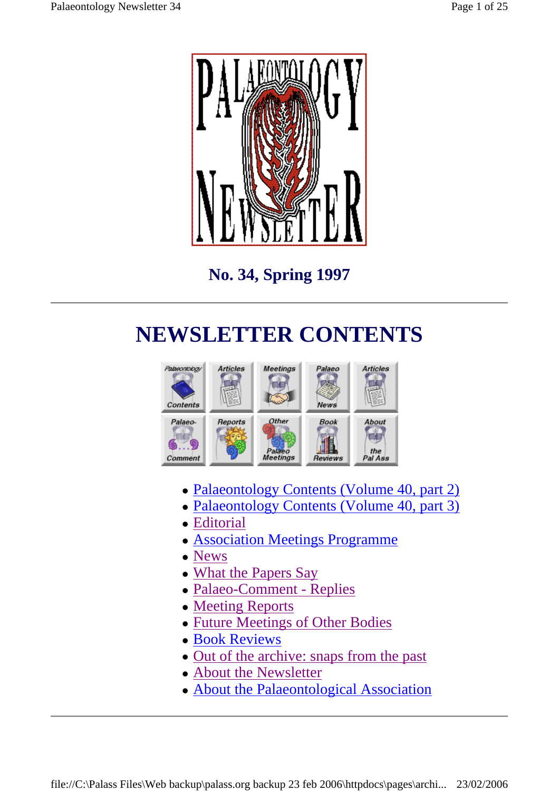

**No. 34, Spring 1997** 

## **NEWSLETTER CONTENTS**



- Palaeontology Contents (Volume 40, part 2)
- Palaeontology Contents (Volume 40, part 3)
- Editorial
- Association Meetings Programme
- News
- What the Papers Say
- Palaeo-Comment Replies
- Meeting Reports
- Future Meetings of Other Bodies
- Book Reviews
- Out of the archive: snaps from the past
- About the Newsletter
- About the Palaeontological Association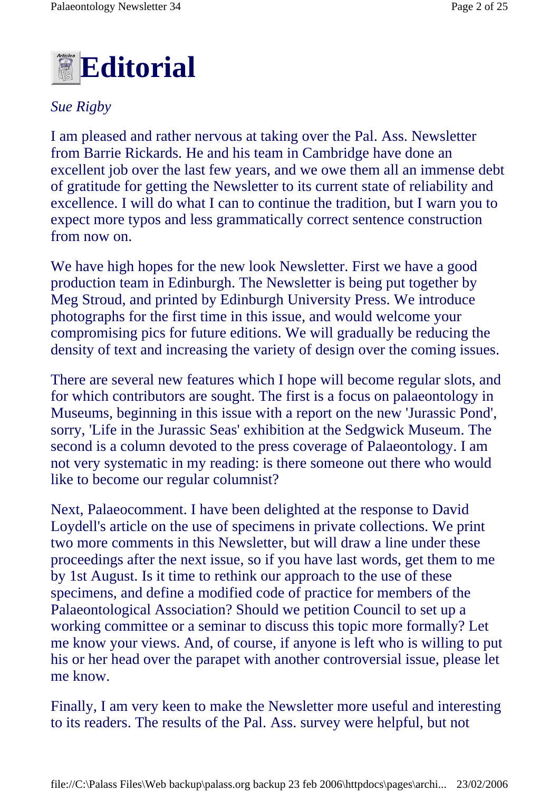

### *Sue Rigby*

I am pleased and rather nervous at taking over the Pal. Ass. Newsletter from Barrie Rickards. He and his team in Cambridge have done an excellent job over the last few years, and we owe them all an immense debt of gratitude for getting the Newsletter to its current state of reliability and excellence. I will do what I can to continue the tradition, but I warn you to expect more typos and less grammatically correct sentence construction from now on.

We have high hopes for the new look Newsletter. First we have a good production team in Edinburgh. The Newsletter is being put together by Meg Stroud, and printed by Edinburgh University Press. We introduce photographs for the first time in this issue, and would welcome your compromising pics for future editions. We will gradually be reducing the density of text and increasing the variety of design over the coming issues.

There are several new features which I hope will become regular slots, and for which contributors are sought. The first is a focus on palaeontology in Museums, beginning in this issue with a report on the new 'Jurassic Pond', sorry, 'Life in the Jurassic Seas' exhibition at the Sedgwick Museum. The second is a column devoted to the press coverage of Palaeontology. I am not very systematic in my reading: is there someone out there who would like to become our regular columnist?

Next, Palaeocomment. I have been delighted at the response to David Loydell's article on the use of specimens in private collections. We print two more comments in this Newsletter, but will draw a line under these proceedings after the next issue, so if you have last words, get them to me by 1st August. Is it time to rethink our approach to the use of these specimens, and define a modified code of practice for members of the Palaeontological Association? Should we petition Council to set up a working committee or a seminar to discuss this topic more formally? Let me know your views. And, of course, if anyone is left who is willing to put his or her head over the parapet with another controversial issue, please let me know.

Finally, I am very keen to make the Newsletter more useful and interesting to its readers. The results of the Pal. Ass. survey were helpful, but not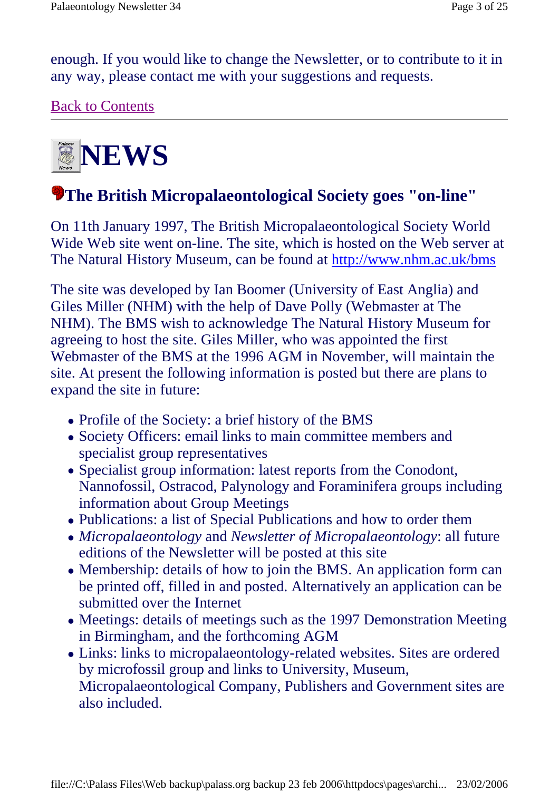enough. If you would like to change the Newsletter, or to contribute to it in any way, please contact me with your suggestions and requests.

Back to Contents



## **The British Micropalaeontological Society goes "on-line"**

On 11th January 1997, The British Micropalaeontological Society World Wide Web site went on-line. The site, which is hosted on the Web server at The Natural History Museum, can be found at http://www.nhm.ac.uk/bms

The site was developed by Ian Boomer (University of East Anglia) and Giles Miller (NHM) with the help of Dave Polly (Webmaster at The NHM). The BMS wish to acknowledge The Natural History Museum for agreeing to host the site. Giles Miller, who was appointed the first Webmaster of the BMS at the 1996 AGM in November, will maintain the site. At present the following information is posted but there are plans to expand the site in future:

- Profile of the Society: a brief history of the BMS
- Society Officers: email links to main committee members and specialist group representatives
- Specialist group information: latest reports from the Conodont, Nannofossil, Ostracod, Palynology and Foraminifera groups including information about Group Meetings
- Publications: a list of Special Publications and how to order them
- *Micropalaeontology* and *Newsletter of Micropalaeontology*: all future editions of the Newsletter will be posted at this site
- Membership: details of how to join the BMS. An application form can be printed off, filled in and posted. Alternatively an application can be submitted over the Internet
- Meetings: details of meetings such as the 1997 Demonstration Meeting in Birmingham, and the forthcoming AGM
- Links: links to micropalaeontology-related websites. Sites are ordered by microfossil group and links to University, Museum, Micropalaeontological Company, Publishers and Government sites are also included.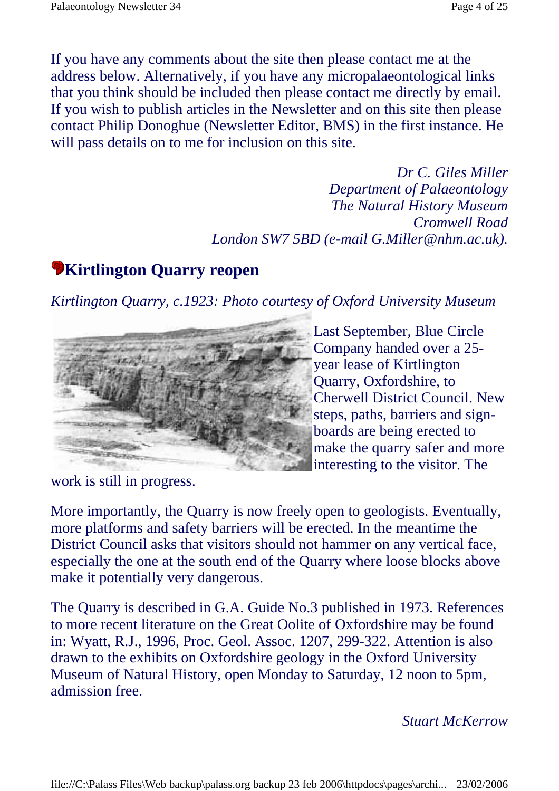If you have any comments about the site then please contact me at the address below. Alternatively, if you have any micropalaeontological links that you think should be included then please contact me directly by email. If you wish to publish articles in the Newsletter and on this site then please contact Philip Donoghue (Newsletter Editor, BMS) in the first instance. He will pass details on to me for inclusion on this site.

> *Dr C. Giles Miller Department of Palaeontology The Natural History Museum Cromwell Road London SW7 5BD (e-mail G.Miller@nhm.ac.uk).*

## **White Wirtlington Quarry reopen**

*Kirtlington Quarry, c.1923: Photo courtesy of Oxford University Museum*



Last September, Blue Circle Company handed over a 25 year lease of Kirtlington Quarry, Oxfordshire, to Cherwell District Council. New steps, paths, barriers and signboards are being erected to make the quarry safer and more interesting to the visitor. The

work is still in progress.

More importantly, the Quarry is now freely open to geologists. Eventually, more platforms and safety barriers will be erected. In the meantime the District Council asks that visitors should not hammer on any vertical face, especially the one at the south end of the Quarry where loose blocks above make it potentially very dangerous.

The Quarry is described in G.A. Guide No.3 published in 1973. References to more recent literature on the Great Oolite of Oxfordshire may be found in: Wyatt, R.J., 1996, Proc. Geol. Assoc. 1207, 299-322. Attention is also drawn to the exhibits on Oxfordshire geology in the Oxford University Museum of Natural History, open Monday to Saturday, 12 noon to 5pm, admission free.

### *Stuart McKerrow*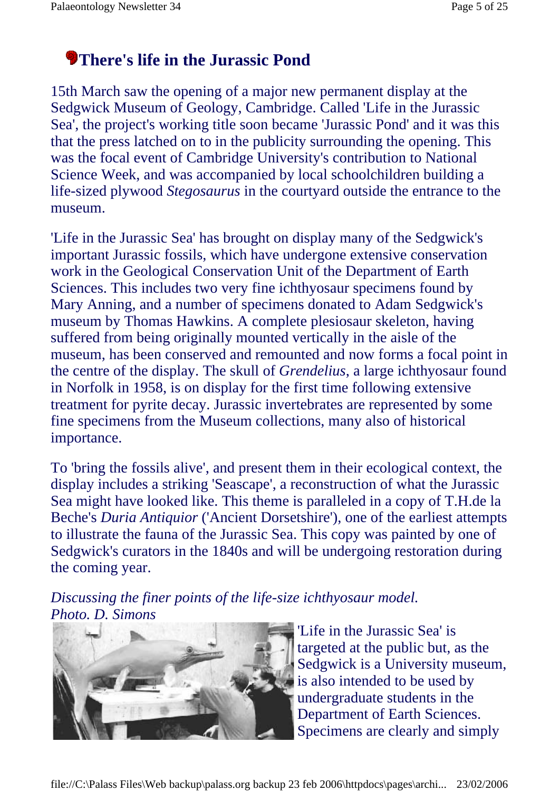## **There's life in the Jurassic Pond**

15th March saw the opening of a major new permanent display at the Sedgwick Museum of Geology, Cambridge. Called 'Life in the Jurassic Sea', the project's working title soon became 'Jurassic Pond' and it was this that the press latched on to in the publicity surrounding the opening. This was the focal event of Cambridge University's contribution to National Science Week, and was accompanied by local schoolchildren building a life-sized plywood *Stegosaurus* in the courtyard outside the entrance to the museum.

'Life in the Jurassic Sea' has brought on display many of the Sedgwick's important Jurassic fossils, which have undergone extensive conservation work in the Geological Conservation Unit of the Department of Earth Sciences. This includes two very fine ichthyosaur specimens found by Mary Anning, and a number of specimens donated to Adam Sedgwick's museum by Thomas Hawkins. A complete plesiosaur skeleton, having suffered from being originally mounted vertically in the aisle of the museum, has been conserved and remounted and now forms a focal point in the centre of the display. The skull of *Grendelius*, a large ichthyosaur found in Norfolk in 1958, is on display for the first time following extensive treatment for pyrite decay. Jurassic invertebrates are represented by some fine specimens from the Museum collections, many also of historical importance.

To 'bring the fossils alive', and present them in their ecological context, the display includes a striking 'Seascape', a reconstruction of what the Jurassic Sea might have looked like. This theme is paralleled in a copy of T.H.de la Beche's *Duria Antiquior* ('Ancient Dorsetshire'), one of the earliest attempts to illustrate the fauna of the Jurassic Sea. This copy was painted by one of Sedgwick's curators in the 1840s and will be undergoing restoration during the coming year.

*Discussing the finer points of the life-size ichthyosaur model. Photo. D. Simons*



'Life in the Jurassic Sea' is targeted at the public but, as the Sedgwick is a University museum, is also intended to be used by undergraduate students in the Department of Earth Sciences. Specimens are clearly and simply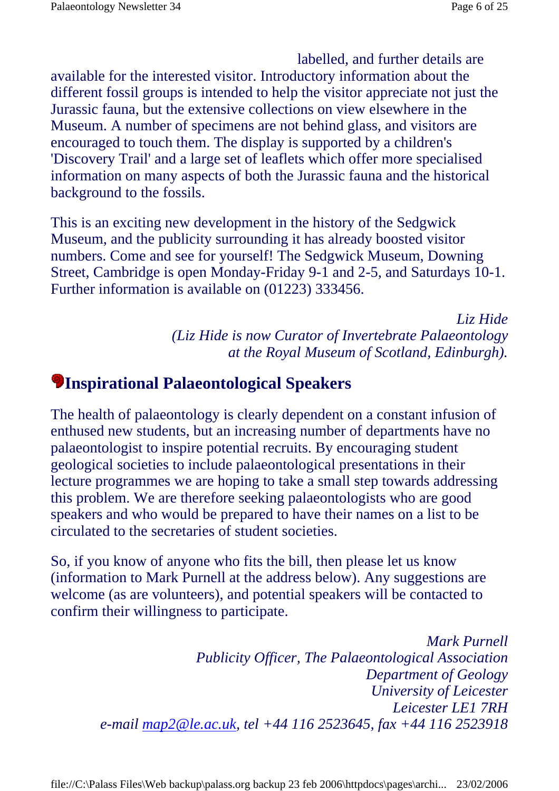labelled, and further details are

available for the interested visitor. Introductory information about the different fossil groups is intended to help the visitor appreciate not just the Jurassic fauna, but the extensive collections on view elsewhere in the Museum. A number of specimens are not behind glass, and visitors are encouraged to touch them. The display is supported by a children's 'Discovery Trail' and a large set of leaflets which offer more specialised information on many aspects of both the Jurassic fauna and the historical background to the fossils.

This is an exciting new development in the history of the Sedgwick Museum, and the publicity surrounding it has already boosted visitor numbers. Come and see for yourself! The Sedgwick Museum, Downing Street, Cambridge is open Monday-Friday 9-1 and 2-5, and Saturdays 10-1. Further information is available on (01223) 333456.

> *Liz Hide (Liz Hide is now Curator of Invertebrate Palaeontology at the Royal Museum of Scotland, Edinburgh).*

### **Inspirational Palaeontological Speakers**

The health of palaeontology is clearly dependent on a constant infusion of enthused new students, but an increasing number of departments have no palaeontologist to inspire potential recruits. By encouraging student geological societies to include palaeontological presentations in their lecture programmes we are hoping to take a small step towards addressing this problem. We are therefore seeking palaeontologists who are good speakers and who would be prepared to have their names on a list to be circulated to the secretaries of student societies.

So, if you know of anyone who fits the bill, then please let us know (information to Mark Purnell at the address below). Any suggestions are welcome (as are volunteers), and potential speakers will be contacted to confirm their willingness to participate.

> *Mark Purnell Publicity Officer, The Palaeontological Association Department of Geology University of Leicester Leicester LE1 7RH e-mail map2@le.ac.uk, tel +44 116 2523645, fax +44 116 2523918*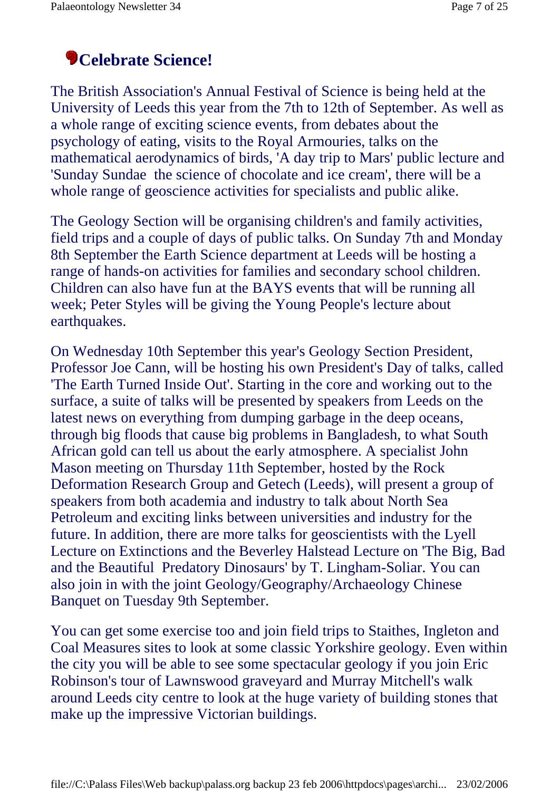## **Celebrate Science!**

The British Association's Annual Festival of Science is being held at the University of Leeds this year from the 7th to 12th of September. As well as a whole range of exciting science events, from debates about the psychology of eating, visits to the Royal Armouries, talks on the mathematical aerodynamics of birds, 'A day trip to Mars' public lecture and 'Sunday Sundae the science of chocolate and ice cream', there will be a whole range of geoscience activities for specialists and public alike.

The Geology Section will be organising children's and family activities, field trips and a couple of days of public talks. On Sunday 7th and Monday 8th September the Earth Science department at Leeds will be hosting a range of hands-on activities for families and secondary school children. Children can also have fun at the BAYS events that will be running all week; Peter Styles will be giving the Young People's lecture about earthquakes.

On Wednesday 10th September this year's Geology Section President, Professor Joe Cann, will be hosting his own President's Day of talks, called 'The Earth Turned Inside Out'. Starting in the core and working out to the surface, a suite of talks will be presented by speakers from Leeds on the latest news on everything from dumping garbage in the deep oceans, through big floods that cause big problems in Bangladesh, to what South African gold can tell us about the early atmosphere. A specialist John Mason meeting on Thursday 11th September, hosted by the Rock Deformation Research Group and Getech (Leeds), will present a group of speakers from both academia and industry to talk about North Sea Petroleum and exciting links between universities and industry for the future. In addition, there are more talks for geoscientists with the Lyell Lecture on Extinctions and the Beverley Halstead Lecture on 'The Big, Bad and the Beautiful Predatory Dinosaurs' by T. Lingham-Soliar. You can also join in with the joint Geology/Geography/Archaeology Chinese Banquet on Tuesday 9th September.

You can get some exercise too and join field trips to Staithes, Ingleton and Coal Measures sites to look at some classic Yorkshire geology. Even within the city you will be able to see some spectacular geology if you join Eric Robinson's tour of Lawnswood graveyard and Murray Mitchell's walk around Leeds city centre to look at the huge variety of building stones that make up the impressive Victorian buildings.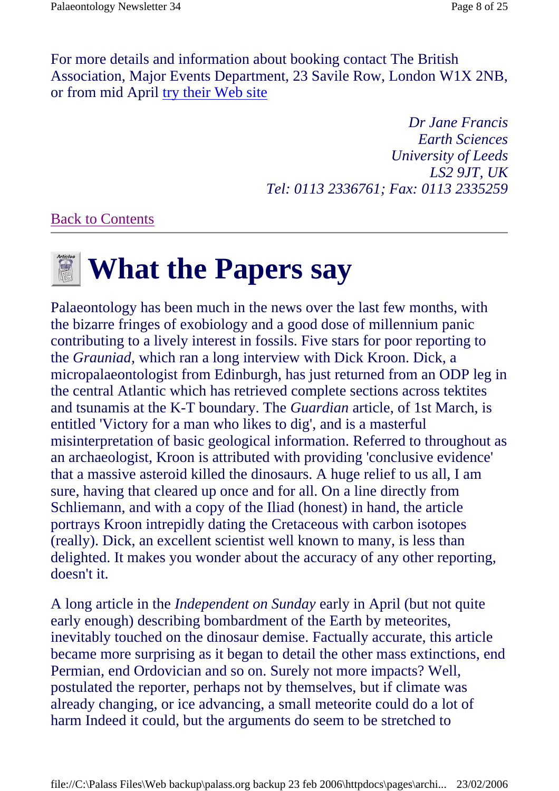For more details and information about booking contact The British Association, Major Events Department, 23 Savile Row, London W1X 2NB, or from mid April try their Web site

> *Dr Jane Francis Earth Sciences University of Leeds LS2 9JT, UK Tel: 0113 2336761; Fax: 0113 2335259*

### Back to Contents

# **Meanual Milker Papers say**

Palaeontology has been much in the news over the last few months, with the bizarre fringes of exobiology and a good dose of millennium panic contributing to a lively interest in fossils. Five stars for poor reporting to the *Grauniad*, which ran a long interview with Dick Kroon. Dick, a micropalaeontologist from Edinburgh, has just returned from an ODP leg in the central Atlantic which has retrieved complete sections across tektites and tsunamis at the K-T boundary. The *Guardian* article, of 1st March, is entitled 'Victory for a man who likes to dig', and is a masterful misinterpretation of basic geological information. Referred to throughout as an archaeologist, Kroon is attributed with providing 'conclusive evidence' that a massive asteroid killed the dinosaurs. A huge relief to us all, I am sure, having that cleared up once and for all. On a line directly from Schliemann, and with a copy of the Iliad (honest) in hand, the article portrays Kroon intrepidly dating the Cretaceous with carbon isotopes (really). Dick, an excellent scientist well known to many, is less than delighted. It makes you wonder about the accuracy of any other reporting, doesn't it.

A long article in the *Independent on Sunday* early in April (but not quite early enough) describing bombardment of the Earth by meteorites, inevitably touched on the dinosaur demise. Factually accurate, this article became more surprising as it began to detail the other mass extinctions, end Permian, end Ordovician and so on. Surely not more impacts? Well, postulated the reporter, perhaps not by themselves, but if climate was already changing, or ice advancing, a small meteorite could do a lot of harm Indeed it could, but the arguments do seem to be stretched to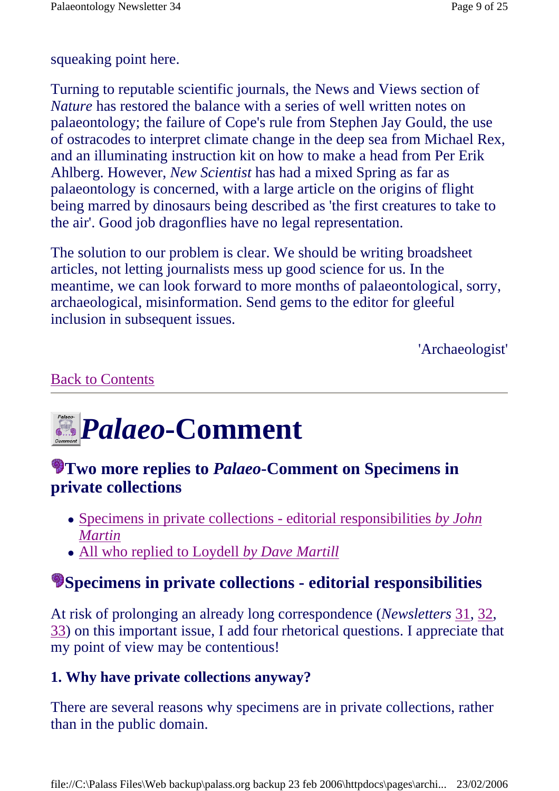### squeaking point here.

Turning to reputable scientific journals, the News and Views section of *Nature* has restored the balance with a series of well written notes on palaeontology; the failure of Cope's rule from Stephen Jay Gould, the use of ostracodes to interpret climate change in the deep sea from Michael Rex, and an illuminating instruction kit on how to make a head from Per Erik Ahlberg. However, *New Scientist* has had a mixed Spring as far as palaeontology is concerned, with a large article on the origins of flight being marred by dinosaurs being described as 'the first creatures to take to the air'. Good job dragonflies have no legal representation.

The solution to our problem is clear. We should be writing broadsheet articles, not letting journalists mess up good science for us. In the meantime, we can look forward to more months of palaeontological, sorry, archaeological, misinformation. Send gems to the editor for gleeful inclusion in subsequent issues.

'Archaeologist'

### Back to Contents

# *Palaeo-Comment*

### **Two more replies to** *Palaeo***-Comment on Specimens in private collections**

- Specimens in private collections editorial responsibilities *by John Martin*
- All who replied to Loydell *by Dave Martill*

## **Specimens in private collections - editorial responsibilities**

At risk of prolonging an already long correspondence (*Newsletters* 31, 32, 33) on this important issue, I add four rhetorical questions. I appreciate that my point of view may be contentious!

### **1. Why have private collections anyway?**

There are several reasons why specimens are in private collections, rather than in the public domain.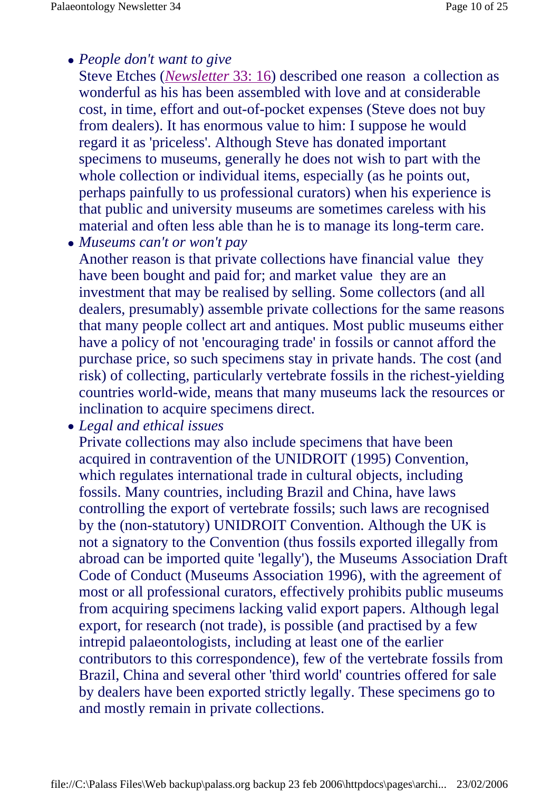### <sup>z</sup> *People don't want to give*

Steve Etches (*Newsletter* 33: 16) described one reason a collection as wonderful as his has been assembled with love and at considerable cost, in time, effort and out-of-pocket expenses (Steve does not buy from dealers). It has enormous value to him: I suppose he would regard it as 'priceless'. Although Steve has donated important specimens to museums, generally he does not wish to part with the whole collection or individual items, especially (as he points out, perhaps painfully to us professional curators) when his experience is that public and university museums are sometimes careless with his material and often less able than he is to manage its long-term care.

<sup>z</sup> *Museums can't or won't pay*

Another reason is that private collections have financial value they have been bought and paid for; and market value they are an investment that may be realised by selling. Some collectors (and all dealers, presumably) assemble private collections for the same reasons that many people collect art and antiques. Most public museums either have a policy of not 'encouraging trade' in fossils or cannot afford the purchase price, so such specimens stay in private hands. The cost (and risk) of collecting, particularly vertebrate fossils in the richest-yielding countries world-wide, means that many museums lack the resources or inclination to acquire specimens direct.

<sup>z</sup> *Legal and ethical issues*

Private collections may also include specimens that have been acquired in contravention of the UNIDROIT (1995) Convention, which regulates international trade in cultural objects, including fossils. Many countries, including Brazil and China, have laws controlling the export of vertebrate fossils; such laws are recognised by the (non-statutory) UNIDROIT Convention. Although the UK is not a signatory to the Convention (thus fossils exported illegally from abroad can be imported quite 'legally'), the Museums Association Draft Code of Conduct (Museums Association 1996), with the agreement of most or all professional curators, effectively prohibits public museums from acquiring specimens lacking valid export papers. Although legal export, for research (not trade), is possible (and practised by a few intrepid palaeontologists, including at least one of the earlier contributors to this correspondence), few of the vertebrate fossils from Brazil, China and several other 'third world' countries offered for sale by dealers have been exported strictly legally. These specimens go to and mostly remain in private collections.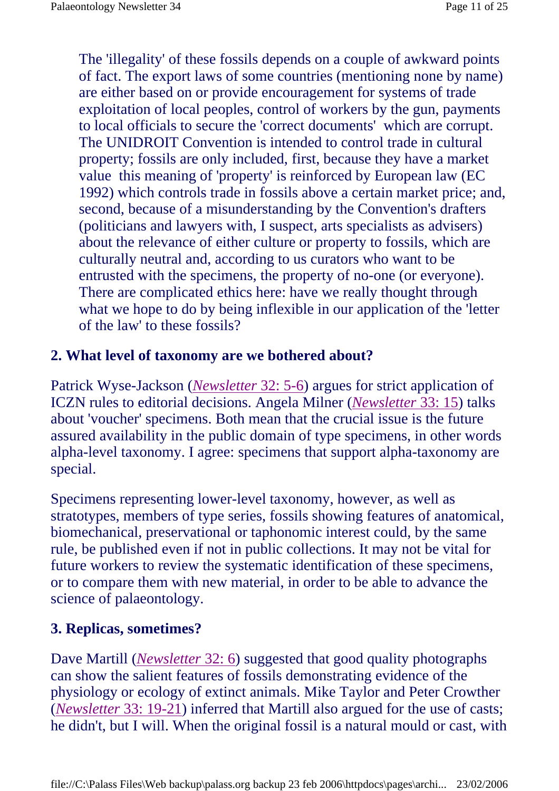The 'illegality' of these fossils depends on a couple of awkward points of fact. The export laws of some countries (mentioning none by name) are either based on or provide encouragement for systems of trade exploitation of local peoples, control of workers by the gun, payments to local officials to secure the 'correct documents' which are corrupt. The UNIDROIT Convention is intended to control trade in cultural property; fossils are only included, first, because they have a market value this meaning of 'property' is reinforced by European law (EC 1992) which controls trade in fossils above a certain market price; and, second, because of a misunderstanding by the Convention's drafters (politicians and lawyers with, I suspect, arts specialists as advisers) about the relevance of either culture or property to fossils, which are culturally neutral and, according to us curators who want to be entrusted with the specimens, the property of no-one (or everyone). There are complicated ethics here: have we really thought through what we hope to do by being inflexible in our application of the 'letter of the law' to these fossils?

### **2. What level of taxonomy are we bothered about?**

Patrick Wyse-Jackson (*Newsletter* 32: 5-6) argues for strict application of ICZN rules to editorial decisions. Angela Milner (*Newsletter* 33: 15) talks about 'voucher' specimens. Both mean that the crucial issue is the future assured availability in the public domain of type specimens, in other words alpha-level taxonomy. I agree: specimens that support alpha-taxonomy are special.

Specimens representing lower-level taxonomy, however, as well as stratotypes, members of type series, fossils showing features of anatomical, biomechanical, preservational or taphonomic interest could, by the same rule, be published even if not in public collections. It may not be vital for future workers to review the systematic identification of these specimens, or to compare them with new material, in order to be able to advance the science of palaeontology.

### **3. Replicas, sometimes?**

Dave Martill (*Newsletter* 32: 6) suggested that good quality photographs can show the salient features of fossils demonstrating evidence of the physiology or ecology of extinct animals. Mike Taylor and Peter Crowther (*Newsletter* 33: 19-21) inferred that Martill also argued for the use of casts; he didn't, but I will. When the original fossil is a natural mould or cast, with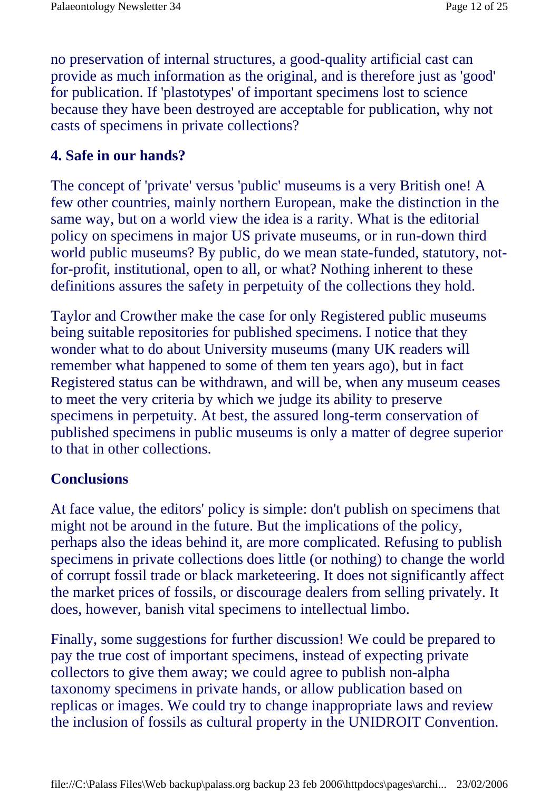no preservation of internal structures, a good-quality artificial cast can provide as much information as the original, and is therefore just as 'good' for publication. If 'plastotypes' of important specimens lost to science because they have been destroyed are acceptable for publication, why not casts of specimens in private collections?

### **4. Safe in our hands?**

The concept of 'private' versus 'public' museums is a very British one! A few other countries, mainly northern European, make the distinction in the same way, but on a world view the idea is a rarity. What is the editorial policy on specimens in major US private museums, or in run-down third world public museums? By public, do we mean state-funded, statutory, notfor-profit, institutional, open to all, or what? Nothing inherent to these definitions assures the safety in perpetuity of the collections they hold.

Taylor and Crowther make the case for only Registered public museums being suitable repositories for published specimens. I notice that they wonder what to do about University museums (many UK readers will remember what happened to some of them ten years ago), but in fact Registered status can be withdrawn, and will be, when any museum ceases to meet the very criteria by which we judge its ability to preserve specimens in perpetuity. At best, the assured long-term conservation of published specimens in public museums is only a matter of degree superior to that in other collections.

### **Conclusions**

At face value, the editors' policy is simple: don't publish on specimens that might not be around in the future. But the implications of the policy, perhaps also the ideas behind it, are more complicated. Refusing to publish specimens in private collections does little (or nothing) to change the world of corrupt fossil trade or black marketeering. It does not significantly affect the market prices of fossils, or discourage dealers from selling privately. It does, however, banish vital specimens to intellectual limbo.

Finally, some suggestions for further discussion! We could be prepared to pay the true cost of important specimens, instead of expecting private collectors to give them away; we could agree to publish non-alpha taxonomy specimens in private hands, or allow publication based on replicas or images. We could try to change inappropriate laws and review the inclusion of fossils as cultural property in the UNIDROIT Convention.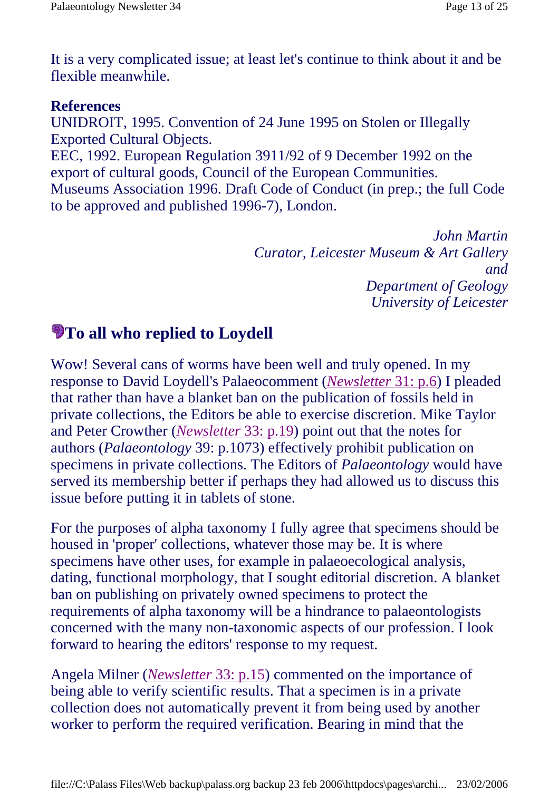It is a very complicated issue; at least let's continue to think about it and be flexible meanwhile.

### **References**

UNIDROIT, 1995. Convention of 24 June 1995 on Stolen or Illegally Exported Cultural Objects.

EEC, 1992. European Regulation 3911/92 of 9 December 1992 on the export of cultural goods, Council of the European Communities. Museums Association 1996. Draft Code of Conduct (in prep.; the full Code to be approved and published 1996-7), London.

> *John Martin Curator, Leicester Museum & Art Gallery and Department of Geology University of Leicester*

## **To all who replied to Loydell**

Wow! Several cans of worms have been well and truly opened. In my response to David Loydell's Palaeocomment (*Newsletter* 31: p.6) I pleaded that rather than have a blanket ban on the publication of fossils held in private collections, the Editors be able to exercise discretion. Mike Taylor and Peter Crowther (*Newsletter* 33: p.19) point out that the notes for authors (*Palaeontology* 39: p.1073) effectively prohibit publication on specimens in private collections. The Editors of *Palaeontology* would have served its membership better if perhaps they had allowed us to discuss this issue before putting it in tablets of stone.

For the purposes of alpha taxonomy I fully agree that specimens should be housed in 'proper' collections, whatever those may be. It is where specimens have other uses, for example in palaeoecological analysis, dating, functional morphology, that I sought editorial discretion. A blanket ban on publishing on privately owned specimens to protect the requirements of alpha taxonomy will be a hindrance to palaeontologists concerned with the many non-taxonomic aspects of our profession. I look forward to hearing the editors' response to my request.

Angela Milner (*Newsletter* 33: p.15) commented on the importance of being able to verify scientific results. That a specimen is in a private collection does not automatically prevent it from being used by another worker to perform the required verification. Bearing in mind that the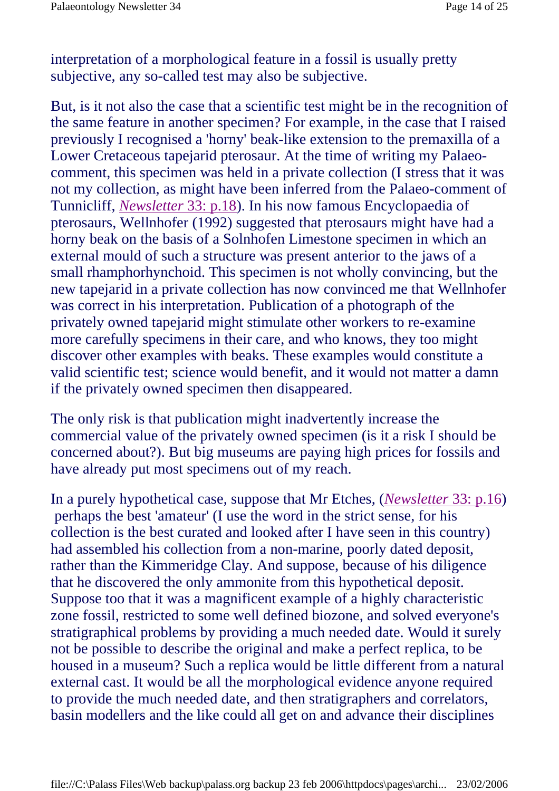interpretation of a morphological feature in a fossil is usually pretty subjective, any so-called test may also be subjective.

But, is it not also the case that a scientific test might be in the recognition of the same feature in another specimen? For example, in the case that I raised previously I recognised a 'horny' beak-like extension to the premaxilla of a Lower Cretaceous tapejarid pterosaur. At the time of writing my Palaeocomment, this specimen was held in a private collection (I stress that it was not my collection, as might have been inferred from the Palaeo-comment of Tunnicliff, *Newsletter* 33: p.18). In his now famous Encyclopaedia of pterosaurs, Wellnhofer (1992) suggested that pterosaurs might have had a horny beak on the basis of a Solnhofen Limestone specimen in which an external mould of such a structure was present anterior to the jaws of a small rhamphorhynchoid. This specimen is not wholly convincing, but the new tapejarid in a private collection has now convinced me that Wellnhofer was correct in his interpretation. Publication of a photograph of the privately owned tapejarid might stimulate other workers to re-examine more carefully specimens in their care, and who knows, they too might discover other examples with beaks. These examples would constitute a valid scientific test; science would benefit, and it would not matter a damn if the privately owned specimen then disappeared.

The only risk is that publication might inadvertently increase the commercial value of the privately owned specimen (is it a risk I should be concerned about?). But big museums are paying high prices for fossils and have already put most specimens out of my reach.

In a purely hypothetical case, suppose that Mr Etches, (*Newsletter* 33: p.16) perhaps the best 'amateur' (I use the word in the strict sense, for his collection is the best curated and looked after I have seen in this country) had assembled his collection from a non-marine, poorly dated deposit, rather than the Kimmeridge Clay. And suppose, because of his diligence that he discovered the only ammonite from this hypothetical deposit. Suppose too that it was a magnificent example of a highly characteristic zone fossil, restricted to some well defined biozone, and solved everyone's stratigraphical problems by providing a much needed date. Would it surely not be possible to describe the original and make a perfect replica, to be housed in a museum? Such a replica would be little different from a natural external cast. It would be all the morphological evidence anyone required to provide the much needed date, and then stratigraphers and correlators, basin modellers and the like could all get on and advance their disciplines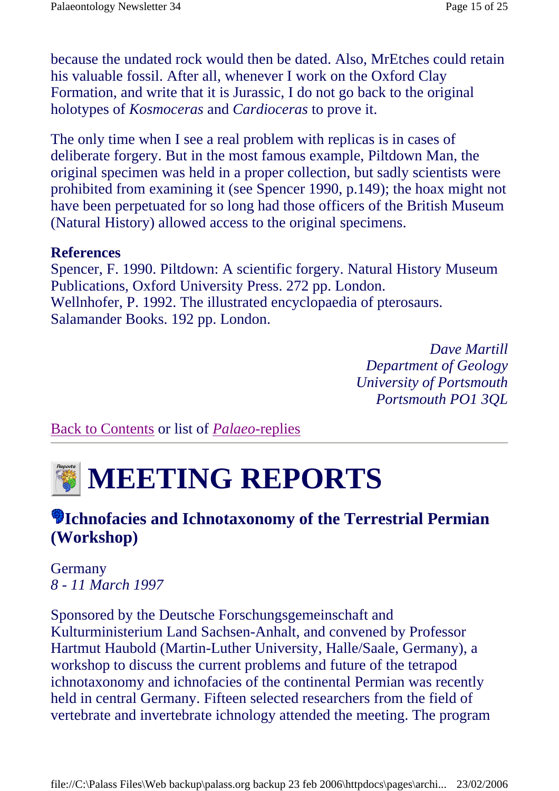because the undated rock would then be dated. Also, MrEtches could retain his valuable fossil. After all, whenever I work on the Oxford Clay Formation, and write that it is Jurassic, I do not go back to the original holotypes of *Kosmoceras* and *Cardioceras* to prove it.

The only time when I see a real problem with replicas is in cases of deliberate forgery. But in the most famous example, Piltdown Man, the original specimen was held in a proper collection, but sadly scientists were prohibited from examining it (see Spencer 1990, p.149); the hoax might not have been perpetuated for so long had those officers of the British Museum (Natural History) allowed access to the original specimens.

### **References**

Spencer, F. 1990. Piltdown: A scientific forgery. Natural History Museum Publications, Oxford University Press. 272 pp. London. Wellnhofer, P. 1992. The illustrated encyclopaedia of pterosaurs. Salamander Books. 192 pp. London.

> *Dave Martill Department of Geology University of Portsmouth Portsmouth PO1 3QL*

Back to Contents or list of *Palaeo*-replies



## **Ichnofacies and Ichnotaxonomy of the Terrestrial Permian (Workshop)**

Germany *8 - 11 March 1997*

Sponsored by the Deutsche Forschungsgemeinschaft and Kulturministerium Land Sachsen-Anhalt, and convened by Professor Hartmut Haubold (Martin-Luther University, Halle/Saale, Germany), a workshop to discuss the current problems and future of the tetrapod ichnotaxonomy and ichnofacies of the continental Permian was recently held in central Germany. Fifteen selected researchers from the field of vertebrate and invertebrate ichnology attended the meeting. The program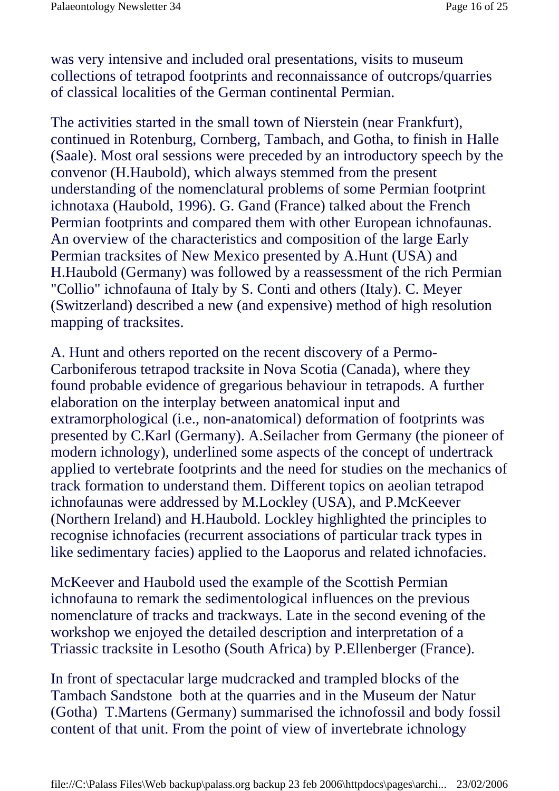was very intensive and included oral presentations, visits to museum collections of tetrapod footprints and reconnaissance of outcrops/quarries of classical localities of the German continental Permian.

The activities started in the small town of Nierstein (near Frankfurt), continued in Rotenburg, Cornberg, Tambach, and Gotha, to finish in Halle (Saale). Most oral sessions were preceded by an introductory speech by the convenor (H.Haubold), which always stemmed from the present understanding of the nomenclatural problems of some Permian footprint ichnotaxa (Haubold, 1996). G. Gand (France) talked about the French Permian footprints and compared them with other European ichnofaunas. An overview of the characteristics and composition of the large Early Permian tracksites of New Mexico presented by A.Hunt (USA) and H.Haubold (Germany) was followed by a reassessment of the rich Permian "Collio" ichnofauna of Italy by S. Conti and others (Italy). C. Meyer (Switzerland) described a new (and expensive) method of high resolution mapping of tracksites.

A. Hunt and others reported on the recent discovery of a Permo-Carboniferous tetrapod tracksite in Nova Scotia (Canada), where they found probable evidence of gregarious behaviour in tetrapods. A further elaboration on the interplay between anatomical input and extramorphological (i.e., non-anatomical) deformation of footprints was presented by C.Karl (Germany). A.Seilacher from Germany (the pioneer of modern ichnology), underlined some aspects of the concept of undertrack applied to vertebrate footprints and the need for studies on the mechanics of track formation to understand them. Different topics on aeolian tetrapod ichnofaunas were addressed by M.Lockley (USA), and P.McKeever (Northern Ireland) and H.Haubold. Lockley highlighted the principles to recognise ichnofacies (recurrent associations of particular track types in like sedimentary facies) applied to the Laoporus and related ichnofacies.

McKeever and Haubold used the example of the Scottish Permian ichnofauna to remark the sedimentological influences on the previous nomenclature of tracks and trackways. Late in the second evening of the workshop we enjoyed the detailed description and interpretation of a Triassic tracksite in Lesotho (South Africa) by P.Ellenberger (France).

In front of spectacular large mudcracked and trampled blocks of the Tambach Sandstone both at the quarries and in the Museum der Natur (Gotha) T.Martens (Germany) summarised the ichnofossil and body fossil content of that unit. From the point of view of invertebrate ichnology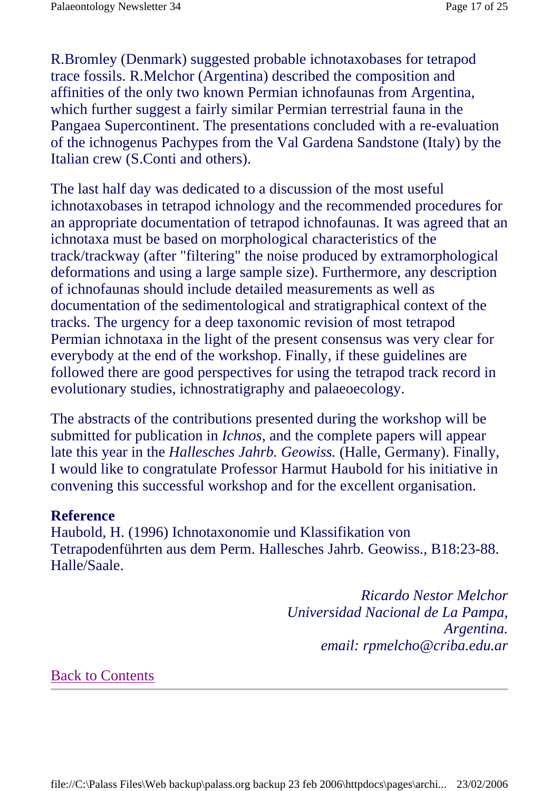R.Bromley (Denmark) suggested probable ichnotaxobases for tetrapod trace fossils. R.Melchor (Argentina) described the composition and affinities of the only two known Permian ichnofaunas from Argentina, which further suggest a fairly similar Permian terrestrial fauna in the Pangaea Supercontinent. The presentations concluded with a re-evaluation of the ichnogenus Pachypes from the Val Gardena Sandstone (Italy) by the Italian crew (S.Conti and others).

The last half day was dedicated to a discussion of the most useful ichnotaxobases in tetrapod ichnology and the recommended procedures for an appropriate documentation of tetrapod ichnofaunas. It was agreed that an ichnotaxa must be based on morphological characteristics of the track/trackway (after "filtering" the noise produced by extramorphological deformations and using a large sample size). Furthermore, any description of ichnofaunas should include detailed measurements as well as documentation of the sedimentological and stratigraphical context of the tracks. The urgency for a deep taxonomic revision of most tetrapod Permian ichnotaxa in the light of the present consensus was very clear for everybody at the end of the workshop. Finally, if these guidelines are followed there are good perspectives for using the tetrapod track record in evolutionary studies, ichnostratigraphy and palaeoecology.

The abstracts of the contributions presented during the workshop will be submitted for publication in *Ichnos*, and the complete papers will appear late this year in the *Hallesches Jahrb. Geowiss.* (Halle, Germany). Finally, I would like to congratulate Professor Harmut Haubold for his initiative in convening this successful workshop and for the excellent organisation.

#### **Reference**

Haubold, H. (1996) Ichnotaxonomie und Klassifikation von Tetrapodenführten aus dem Perm. Hallesches Jahrb. Geowiss., B18:23-88. Halle/Saale.

> *Ricardo Nestor Melchor Universidad Nacional de La Pampa, Argentina. email: rpmelcho@criba.edu.ar*

#### Back to Contents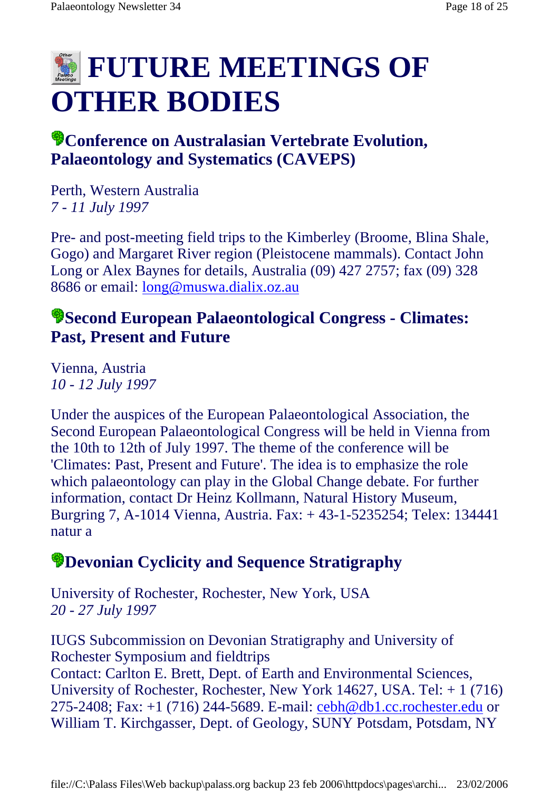## **E FUTURE MEETINGS OF OTHER BODIES**

## **Conference on Australasian Vertebrate Evolution, Palaeontology and Systematics (CAVEPS)**

Perth, Western Australia *7 - 11 July 1997*

Pre- and post-meeting field trips to the Kimberley (Broome, Blina Shale, Gogo) and Margaret River region (Pleistocene mammals). Contact John Long or Alex Baynes for details, Australia (09) 427 2757; fax (09) 328 8686 or email: long@muswa.dialix.oz.au

### **Second European Palaeontological Congress - Climates: Past, Present and Future**

Vienna, Austria *10 - 12 July 1997*

Under the auspices of the European Palaeontological Association, the Second European Palaeontological Congress will be held in Vienna from the 10th to 12th of July 1997. The theme of the conference will be 'Climates: Past, Present and Future'. The idea is to emphasize the role which palaeontology can play in the Global Change debate. For further information, contact Dr Heinz Kollmann, Natural History Museum, Burgring 7, A-1014 Vienna, Austria. Fax: + 43-1-5235254; Telex: 134441 natur a

## **Devonian Cyclicity and Sequence Stratigraphy**

University of Rochester, Rochester, New York, USA *20 - 27 July 1997*

IUGS Subcommission on Devonian Stratigraphy and University of Rochester Symposium and fieldtrips Contact: Carlton E. Brett, Dept. of Earth and Environmental Sciences, University of Rochester, Rochester, New York 14627, USA. Tel: + 1 (716) 275-2408; Fax: +1 (716) 244-5689. E-mail: cebh@db1.cc.rochester.edu or William T. Kirchgasser, Dept. of Geology, SUNY Potsdam, Potsdam, NY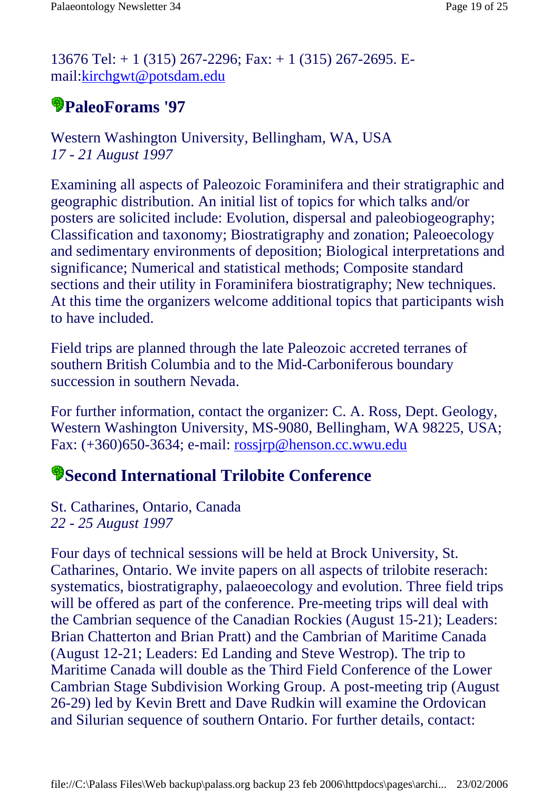13676 Tel: + 1 (315) 267-2296; Fax: + 1 (315) 267-2695. Email:kirchgwt@potsdam.edu

## **PaleoForams '97**

Western Washington University, Bellingham, WA, USA *17 - 21 August 1997*

Examining all aspects of Paleozoic Foraminifera and their stratigraphic and geographic distribution. An initial list of topics for which talks and/or posters are solicited include: Evolution, dispersal and paleobiogeography; Classification and taxonomy; Biostratigraphy and zonation; Paleoecology and sedimentary environments of deposition; Biological interpretations and significance; Numerical and statistical methods; Composite standard sections and their utility in Foraminifera biostratigraphy; New techniques. At this time the organizers welcome additional topics that participants wish to have included.

Field trips are planned through the late Paleozoic accreted terranes of southern British Columbia and to the Mid-Carboniferous boundary succession in southern Nevada.

For further information, contact the organizer: C. A. Ross, Dept. Geology, Western Washington University, MS-9080, Bellingham, WA 98225, USA; Fax: (+360)650-3634; e-mail: rossjrp@henson.cc.wwu.edu

## **Second International Trilobite Conference**

St. Catharines, Ontario, Canada *22 - 25 August 1997*

Four days of technical sessions will be held at Brock University, St. Catharines, Ontario. We invite papers on all aspects of trilobite reserach: systematics, biostratigraphy, palaeoecology and evolution. Three field trips will be offered as part of the conference. Pre-meeting trips will deal with the Cambrian sequence of the Canadian Rockies (August 15-21); Leaders: Brian Chatterton and Brian Pratt) and the Cambrian of Maritime Canada (August 12-21; Leaders: Ed Landing and Steve Westrop). The trip to Maritime Canada will double as the Third Field Conference of the Lower Cambrian Stage Subdivision Working Group. A post-meeting trip (August 26-29) led by Kevin Brett and Dave Rudkin will examine the Ordovican and Silurian sequence of southern Ontario. For further details, contact: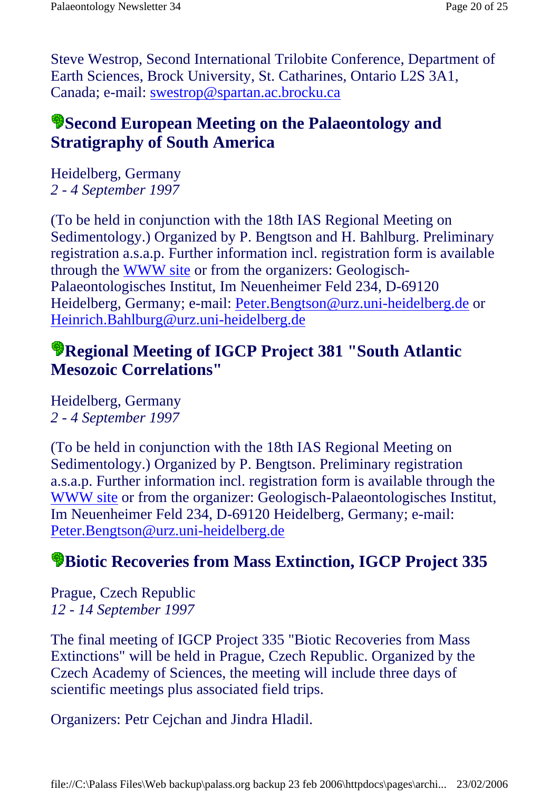Steve Westrop, Second International Trilobite Conference, Department of Earth Sciences, Brock University, St. Catharines, Ontario L2S 3A1, Canada; e-mail: swestrop@spartan.ac.brocku.ca

## **Second European Meeting on the Palaeontology and Stratigraphy of South America**

Heidelberg, Germany *2 - 4 September 1997*

(To be held in conjunction with the 18th IAS Regional Meeting on Sedimentology.) Organized by P. Bengtson and H. Bahlburg. Preliminary registration a.s.a.p. Further information incl. registration form is available through the WWW site or from the organizers: Geologisch-Palaeontologisches Institut, Im Neuenheimer Feld 234, D-69120 Heidelberg, Germany; e-mail: Peter.Bengtson@urz.uni-heidelberg.de or Heinrich.Bahlburg@urz.uni-heidelberg.de

## **Regional Meeting of IGCP Project 381 "South Atlantic Mesozoic Correlations"**

Heidelberg, Germany *2 - 4 September 1997*

(To be held in conjunction with the 18th IAS Regional Meeting on Sedimentology.) Organized by P. Bengtson. Preliminary registration a.s.a.p. Further information incl. registration form is available through the WWW site or from the organizer: Geologisch-Palaeontologisches Institut, Im Neuenheimer Feld 234, D-69120 Heidelberg, Germany; e-mail: Peter.Bengtson@urz.uni-heidelberg.de

## **Biotic Recoveries from Mass Extinction, IGCP Project 335**

Prague, Czech Republic *12 - 14 September 1997*

The final meeting of IGCP Project 335 "Biotic Recoveries from Mass Extinctions" will be held in Prague, Czech Republic. Organized by the Czech Academy of Sciences, the meeting will include three days of scientific meetings plus associated field trips.

Organizers: Petr Cejchan and Jindra Hladil.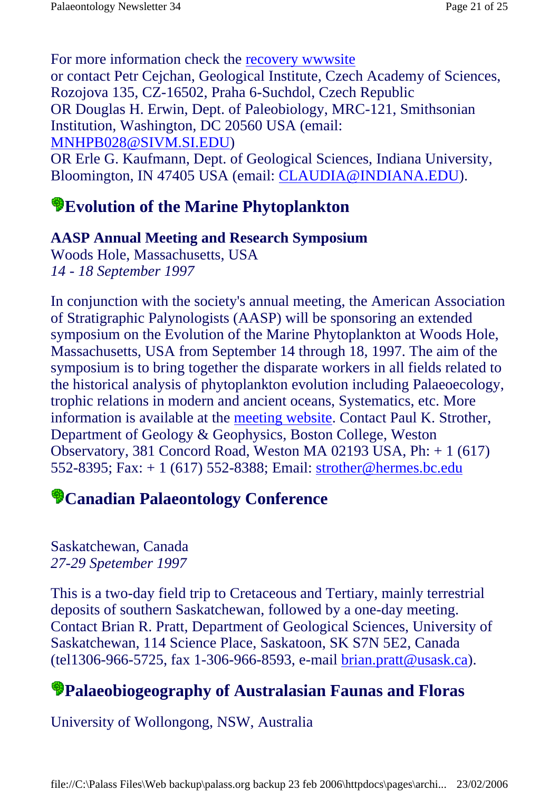For more information check the recovery wwwsite or contact Petr Cejchan, Geological Institute, Czech Academy of Sciences, Rozojova 135, CZ-16502, Praha 6-Suchdol, Czech Republic OR Douglas H. Erwin, Dept. of Paleobiology, MRC-121, Smithsonian Institution, Washington, DC 20560 USA (email: MNHPB028@SIVM.SI.EDU) OR Erle G. Kaufmann, Dept. of Geological Sciences, Indiana University, Bloomington, IN 47405 USA (email: CLAUDIA@INDIANA.EDU).

## **Evolution of the Marine Phytoplankton**

### **AASP Annual Meeting and Research Symposium**

Woods Hole, Massachusetts, USA *14 - 18 September 1997*

In conjunction with the society's annual meeting, the American Association of Stratigraphic Palynologists (AASP) will be sponsoring an extended symposium on the Evolution of the Marine Phytoplankton at Woods Hole, Massachusetts, USA from September 14 through 18, 1997. The aim of the symposium is to bring together the disparate workers in all fields related to the historical analysis of phytoplankton evolution including Palaeoecology, trophic relations in modern and ancient oceans, Systematics, etc. More information is available at the meeting website. Contact Paul K. Strother, Department of Geology & Geophysics, Boston College, Weston Observatory, 381 Concord Road, Weston MA 02193 USA, Ph: + 1 (617) 552-8395; Fax: + 1 (617) 552-8388; Email: strother@hermes.bc.edu

## **Canadian Palaeontology Conference**

Saskatchewan, Canada *27-29 Spetember 1997*

This is a two-day field trip to Cretaceous and Tertiary, mainly terrestrial deposits of southern Saskatchewan, followed by a one-day meeting. Contact Brian R. Pratt, Department of Geological Sciences, University of Saskatchewan, 114 Science Place, Saskatoon, SK S7N 5E2, Canada (tel1306-966-5725, fax 1-306-966-8593, e-mail brian.pratt@usask.ca).

## **Palaeobiogeography of Australasian Faunas and Floras**

University of Wollongong, NSW, Australia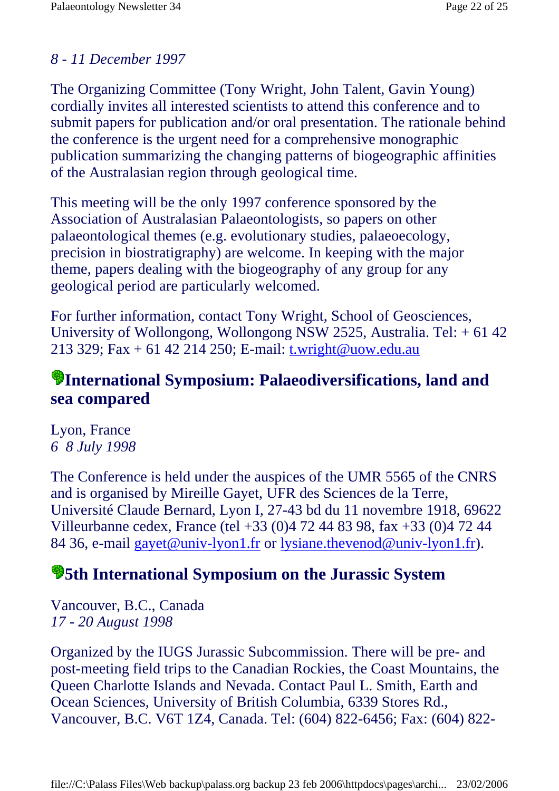### *8 - 11 December 1997*

The Organizing Committee (Tony Wright, John Talent, Gavin Young) cordially invites all interested scientists to attend this conference and to submit papers for publication and/or oral presentation. The rationale behind the conference is the urgent need for a comprehensive monographic publication summarizing the changing patterns of biogeographic affinities of the Australasian region through geological time.

This meeting will be the only 1997 conference sponsored by the Association of Australasian Palaeontologists, so papers on other palaeontological themes (e.g. evolutionary studies, palaeoecology, precision in biostratigraphy) are welcome. In keeping with the major theme, papers dealing with the biogeography of any group for any geological period are particularly welcomed.

For further information, contact Tony Wright, School of Geosciences, University of Wollongong, Wollongong NSW 2525, Australia. Tel: + 61 42 213 329; Fax + 61 42 214 250; E-mail: t.wright@uow.edu.au

## **International Symposium: Palaeodiversifications, land and sea compared**

Lyon, France *6 8 July 1998*

The Conference is held under the auspices of the UMR 5565 of the CNRS and is organised by Mireille Gayet, UFR des Sciences de la Terre, Université Claude Bernard, Lyon I, 27-43 bd du 11 novembre 1918, 69622 Villeurbanne cedex, France (tel +33 (0)4 72 44 83 98, fax +33 (0)4 72 44 84 36, e-mail gayet@univ-lyon1.fr or lysiane.thevenod@univ-lyon1.fr).

## **5th International Symposium on the Jurassic System**

Vancouver, B.C., Canada *17 - 20 August 1998*

Organized by the IUGS Jurassic Subcommission. There will be pre- and post-meeting field trips to the Canadian Rockies, the Coast Mountains, the Queen Charlotte Islands and Nevada. Contact Paul L. Smith, Earth and Ocean Sciences, University of British Columbia, 6339 Stores Rd., Vancouver, B.C. V6T 1Z4, Canada. Tel: (604) 822-6456; Fax: (604) 822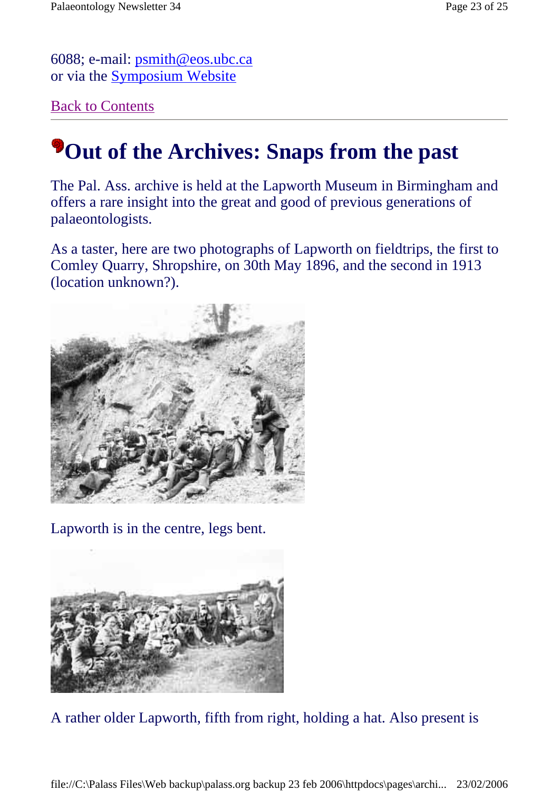6088; e-mail: psmith@eos.ubc.ca or via the Symposium Website

Back to Contents

## **Pout of the Archives: Snaps from the past**

The Pal. Ass. archive is held at the Lapworth Museum in Birmingham and offers a rare insight into the great and good of previous generations of palaeontologists.

As a taster, here are two photographs of Lapworth on fieldtrips, the first to Comley Quarry, Shropshire, on 30th May 1896, and the second in 1913 (location unknown?).



Lapworth is in the centre, legs bent.



A rather older Lapworth, fifth from right, holding a hat. Also present is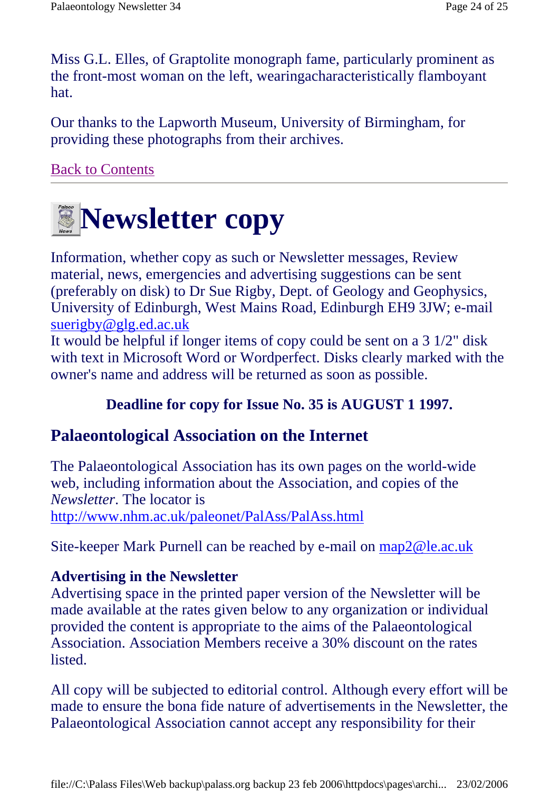Miss G.L. Elles, of Graptolite monograph fame, particularly prominent as the front-most woman on the left, wearingacharacteristically flamboyant hat.

Our thanks to the Lapworth Museum, University of Birmingham, for providing these photographs from their archives.

Back to Contents



Information, whether copy as such or Newsletter messages, Review material, news, emergencies and advertising suggestions can be sent (preferably on disk) to Dr Sue Rigby, Dept. of Geology and Geophysics, University of Edinburgh, West Mains Road, Edinburgh EH9 3JW; e-mail suerigby@glg.ed.ac.uk

It would be helpful if longer items of copy could be sent on a 3 1/2" disk with text in Microsoft Word or Wordperfect. Disks clearly marked with the owner's name and address will be returned as soon as possible.

### **Deadline for copy for Issue No. 35 is AUGUST 1 1997.**

### **Palaeontological Association on the Internet**

The Palaeontological Association has its own pages on the world-wide web, including information about the Association, and copies of the *Newsletter*. The locator is http://www.nhm.ac.uk/paleonet/PalAss/PalAss.html

Site-keeper Mark Purnell can be reached by e-mail on map2@le.ac.uk

### **Advertising in the Newsletter**

Advertising space in the printed paper version of the Newsletter will be made available at the rates given below to any organization or individual provided the content is appropriate to the aims of the Palaeontological Association. Association Members receive a 30% discount on the rates listed.

All copy will be subjected to editorial control. Although every effort will be made to ensure the bona fide nature of advertisements in the Newsletter, the Palaeontological Association cannot accept any responsibility for their